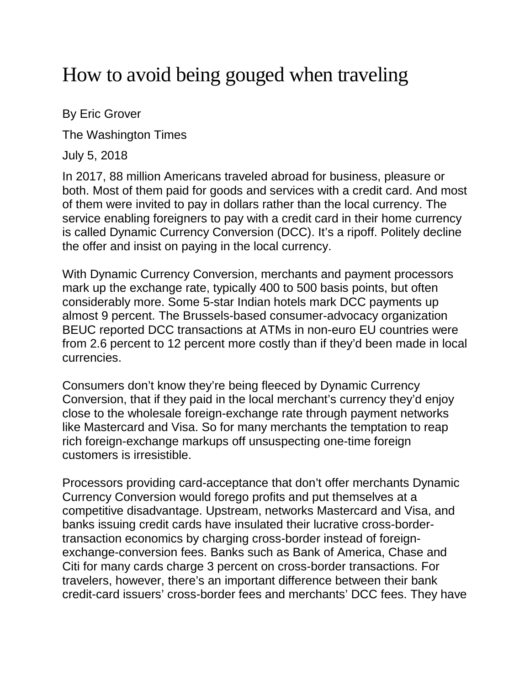## How to avoid being gouged when traveling

By Eric Grover

The Washington Times

July 5, 2018

In 2017, 88 million Americans traveled abroad for business, pleasure or both. Most of them paid for goods and services with a credit card. And most of them were invited to pay in dollars rather than the local currency. The service enabling foreigners to pay with a credit card in their home currency is called Dynamic Currency Conversion (DCC). It's a ripoff. Politely decline the offer and insist on paying in the local currency.

With Dynamic Currency Conversion, merchants and payment processors mark up the exchange rate, typically 400 to 500 basis points, but often considerably more. Some 5-star Indian hotels mark DCC payments up almost 9 percent. The Brussels-based consumer-advocacy organization BEUC reported DCC transactions at ATMs in non-euro EU countries were from 2.6 percent to 12 percent more costly than if they'd been made in local currencies.

Consumers don't know they're being fleeced by Dynamic Currency Conversion, that if they paid in the local merchant's currency they'd enjoy close to the wholesale foreign-exchange rate through payment networks like Mastercard and Visa. So for many merchants the temptation to reap rich foreign-exchange markups off unsuspecting one-time foreign customers is irresistible.

Processors providing card-acceptance that don't offer merchants Dynamic Currency Conversion would forego profits and put themselves at a competitive disadvantage. Upstream, networks Mastercard and Visa, and banks issuing credit cards have insulated their lucrative cross-bordertransaction economics by charging cross-border instead of foreignexchange-conversion fees. Banks such as Bank of America, Chase and Citi for many cards charge 3 percent on cross-border transactions. For travelers, however, there's an important difference between their bank credit-card issuers' cross-border fees and merchants' DCC fees. They have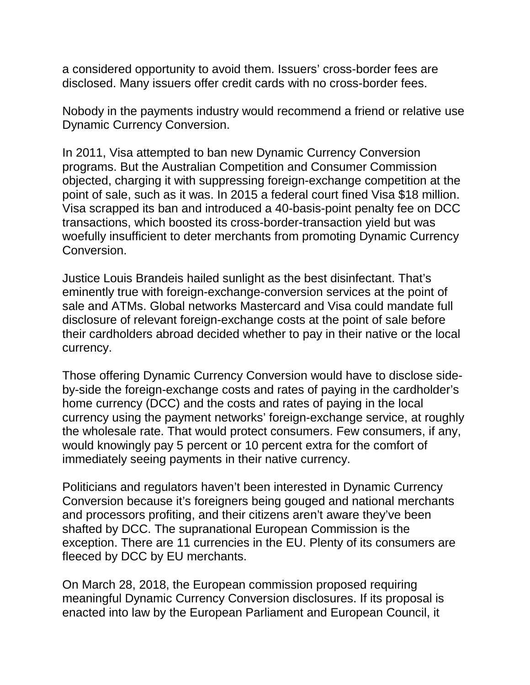a considered opportunity to avoid them. Issuers' cross-border fees are disclosed. Many issuers offer credit cards with no cross-border fees.

Nobody in the payments industry would recommend a friend or relative use Dynamic Currency Conversion.

In 2011, Visa attempted to ban new Dynamic Currency Conversion programs. But the Australian Competition and Consumer Commission objected, charging it with suppressing foreign-exchange competition at the point of sale, such as it was. In 2015 a federal court fined Visa \$18 million. Visa scrapped its ban and introduced a 40-basis-point penalty fee on DCC transactions, which boosted its cross-border-transaction yield but was woefully insufficient to deter merchants from promoting Dynamic Currency Conversion.

Justice Louis Brandeis hailed sunlight as the best disinfectant. That's eminently true with foreign-exchange-conversion services at the point of sale and ATMs. Global networks Mastercard and Visa could mandate full disclosure of relevant foreign-exchange costs at the point of sale before their cardholders abroad decided whether to pay in their native or the local currency.

Those offering Dynamic Currency Conversion would have to disclose sideby-side the foreign-exchange costs and rates of paying in the cardholder's home currency (DCC) and the costs and rates of paying in the local currency using the payment networks' foreign-exchange service, at roughly the wholesale rate. That would protect consumers. Few consumers, if any, would knowingly pay 5 percent or 10 percent extra for the comfort of immediately seeing payments in their native currency.

Politicians and regulators haven't been interested in Dynamic Currency Conversion because it's foreigners being gouged and national merchants and processors profiting, and their citizens aren't aware they've been shafted by DCC. The supranational European Commission is the exception. There are 11 currencies in the EU. Plenty of its consumers are fleeced by DCC by EU merchants.

On March 28, 2018, the European commission proposed requiring meaningful Dynamic Currency Conversion disclosures. If its proposal is enacted into law by the European Parliament and European Council, it